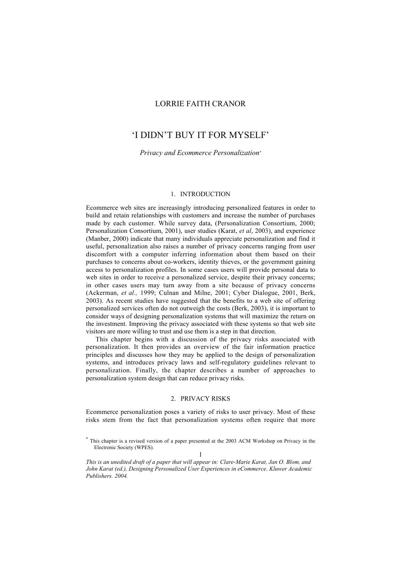# 'I DIDN'T BUY IT FOR MYSELF'

## *Privacy and Ecommerce Personalization*<sup>∗</sup>

#### 1. INTRODUCTION

Ecommerce web sites are increasingly introducing personalized features in order to build and retain relationships with customers and increase the number of purchases made by each customer. While survey data, (Personalization Consortium, 2000; Personalization Consortium, 2001), user studies (Karat, *et al*, 2003), and experience (Manber, 2000) indicate that many individuals appreciate personalization and find it useful, personalization also raises a number of privacy concerns ranging from user discomfort with a computer inferring information about them based on their purchases to concerns about co-workers, identity thieves, or the government gaining access to personalization profiles. In some cases users will provide personal data to web sites in order to receive a personalized service, despite their privacy concerns; in other cases users may turn away from a site because of privacy concerns (Ackerman, *et al.,* 1999; Culnan and Milne, 2001; Cyber Dialogue, 2001, Berk, 2003). As recent studies have suggested that the benefits to a web site of offering personalized services often do not outweigh the costs (Berk, 2003), it is important to consider ways of designing personalization systems that will maximize the return on the investment. Improving the privacy associated with these systems so that web site visitors are more willing to trust and use them is a step in that direction.

This chapter begins with a discussion of the privacy risks associated with personalization. It then provides an overview of the fair information practice principles and discusses how they may be applied to the design of personalization systems, and introduces privacy laws and self-regulatory guidelines relevant to personalization. Finally, the chapter describes a number of approaches to personalization system design that can reduce privacy risks.

#### 2. PRIVACY RISKS

Ecommerce personalization poses a variety of risks to user privacy. Most of these risks stem from the fact that personalization systems often require that more

1

*This is an unedited draft of a paper that will appear in: Clare-Marie Karat, Jan O. Blom, and John Karat (ed.), Designing Personalized User Experiences in eCommerce*. *Kluwer Academic Publishers. 2004.*

<sup>\*</sup> This chapter is a revised version of a paper presented at the 2003 ACM Workshop on Privacy in the Electronic Society (WPES).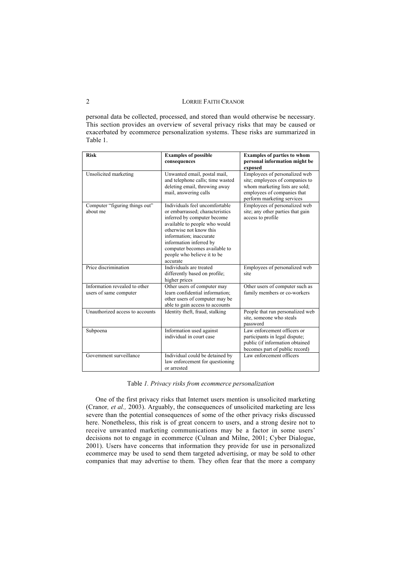personal data be collected, processed, and stored than would otherwise be necessary. This section provides an overview of several privacy risks that may be caused or exacerbated by ecommerce personalization systems. These risks are summarized in Table 1.

| <b>Risk</b>                                             | <b>Examples of possible</b><br>consequences                                                                                                                                                                                                                                                    | <b>Examples of parties to whom</b><br>personal information might be<br>exposed                                                                                  |
|---------------------------------------------------------|------------------------------------------------------------------------------------------------------------------------------------------------------------------------------------------------------------------------------------------------------------------------------------------------|-----------------------------------------------------------------------------------------------------------------------------------------------------------------|
| Unsolicited marketing                                   | Unwanted email, postal mail,<br>and telephone calls; time wasted<br>deleting email, throwing away<br>mail, answering calls                                                                                                                                                                     | Employees of personalized web<br>site; employees of companies to<br>whom marketing lists are sold;<br>employees of companies that<br>perform marketing services |
| Computer "figuring things out"<br>about me              | Individuals feel uncomfortable<br>or embarrassed; characteristics<br>inferred by computer become<br>available to people who would<br>otherwise not know this<br>information; inaccurate<br>information inferred by<br>computer becomes available to<br>people who believe it to be<br>accurate | Employees of personalized web<br>site; any other parties that gain<br>access to profile                                                                         |
| Price discrimination                                    | Individuals are treated<br>differently based on profile;<br>higher prices                                                                                                                                                                                                                      | Employees of personalized web<br>site                                                                                                                           |
| Information revealed to other<br>users of same computer | Other users of computer may<br>learn confidential information;<br>other users of computer may be<br>able to gain access to accounts                                                                                                                                                            | Other users of computer such as<br>family members or co-workers                                                                                                 |
| Unauthorized access to accounts                         | Identity theft, fraud, stalking                                                                                                                                                                                                                                                                | People that run personalized web<br>site, someone who steals<br>password                                                                                        |
| Subpoena                                                | Information used against<br>individual in court case                                                                                                                                                                                                                                           | Law enforcement officers or<br>participants in legal dispute;<br>public (if information obtained<br>becomes part of public record)                              |
| Government surveillance                                 | Individual could be detained by<br>law enforcement for questioning<br>or arrested                                                                                                                                                                                                              | Law enforcement officers                                                                                                                                        |

#### Table *1. Privacy risks from ecommerce personalization*

One of the first privacy risks that Internet users mention is unsolicited marketing (Cranor*, et al.,* 2003). Arguably, the consequences of unsolicited marketing are less severe than the potential consequences of some of the other privacy risks discussed here. Nonetheless, this risk is of great concern to users, and a strong desire not to receive unwanted marketing communications may be a factor in some users' decisions not to engage in ecommerce (Culnan and Milne, 2001; Cyber Dialogue, 2001). Users have concerns that information they provide for use in personalized ecommerce may be used to send them targeted advertising, or may be sold to other companies that may advertise to them. They often fear that the more a company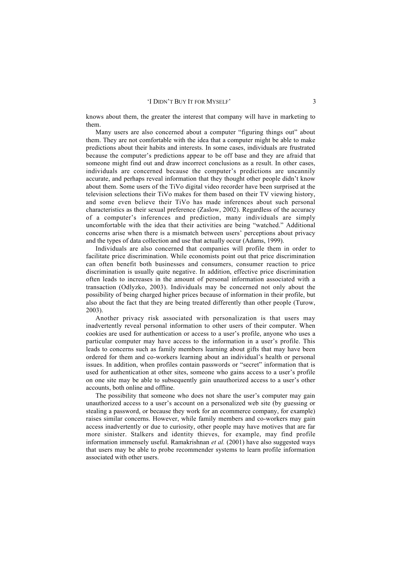knows about them, the greater the interest that company will have in marketing to them.

Many users are also concerned about a computer "figuring things out" about them. They are not comfortable with the idea that a computer might be able to make predictions about their habits and interests. In some cases, individuals are frustrated because the computer's predictions appear to be off base and they are afraid that someone might find out and draw incorrect conclusions as a result. In other cases, individuals are concerned because the computer's predictions are uncannily accurate, and perhaps reveal information that they thought other people didn't know about them. Some users of the TiVo digital video recorder have been surprised at the television selections their TiVo makes for them based on their TV viewing history, and some even believe their TiVo has made inferences about such personal characteristics as their sexual preference (Zaslow, 2002). Regardless of the accuracy of a computer's inferences and prediction, many individuals are simply uncomfortable with the idea that their activities are being "watched." Additional concerns arise when there is a mismatch between users' perceptions about privacy and the types of data collection and use that actually occur (Adams, 1999).

Individuals are also concerned that companies will profile them in order to facilitate price discrimination. While economists point out that price discrimination can often benefit both businesses and consumers, consumer reaction to price discrimination is usually quite negative. In addition, effective price discrimination often leads to increases in the amount of personal information associated with a transaction (Odlyzko, 2003). Individuals may be concerned not only about the possibility of being charged higher prices because of information in their profile, but also about the fact that they are being treated differently than other people (Turow, 2003).

Another privacy risk associated with personalization is that users may inadvertently reveal personal information to other users of their computer. When cookies are used for authentication or access to a user's profile, anyone who uses a particular computer may have access to the information in a user's profile. This leads to concerns such as family members learning about gifts that may have been ordered for them and co-workers learning about an individual's health or personal issues. In addition, when profiles contain passwords or "secret" information that is used for authentication at other sites, someone who gains access to a user's profile on one site may be able to subsequently gain unauthorized access to a user's other accounts, both online and offline.

The possibility that someone who does not share the user's computer may gain unauthorized access to a user's account on a personalized web site (by guessing or stealing a password, or because they work for an ecommerce company, for example) raises similar concerns. However, while family members and co-workers may gain access inadvertently or due to curiosity, other people may have motives that are far more sinister. Stalkers and identity thieves, for example, may find profile information immensely useful. Ramakrishnan *et al.* (2001) have also suggested ways that users may be able to probe recommender systems to learn profile information associated with other users.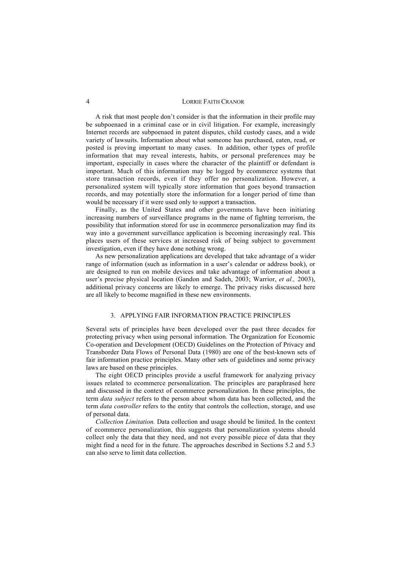A risk that most people don't consider is that the information in their profile may be subpoenaed in a criminal case or in civil litigation. For example, increasingly Internet records are subpoenaed in patent disputes, child custody cases, and a wide variety of lawsuits. Information about what someone has purchased, eaten, read, or posted is proving important to many cases. In addition, other types of profile information that may reveal interests, habits, or personal preferences may be important, especially in cases where the character of the plaintiff or defendant is important. Much of this information may be logged by ecommerce systems that store transaction records, even if they offer no personalization. However, a personalized system will typically store information that goes beyond transaction records, and may potentially store the information for a longer period of time than would be necessary if it were used only to support a transaction.

Finally, as the United States and other governments have been initiating increasing numbers of surveillance programs in the name of fighting terrorism, the possibility that information stored for use in ecommerce personalization may find its way into a government surveillance application is becoming increasingly real. This places users of these services at increased risk of being subject to government investigation, even if they have done nothing wrong.

As new personalization applications are developed that take advantage of a wider range of information (such as information in a user's calendar or address book), or are designed to run on mobile devices and take advantage of information about a user's precise physical location (Gandon and Sadeh, 2003; Warrior, *et al.,* 2003), additional privacy concerns are likely to emerge. The privacy risks discussed here are all likely to become magnified in these new environments.

## 3. APPLYING FAIR INFORMATION PRACTICE PRINCIPLES

Several sets of principles have been developed over the past three decades for protecting privacy when using personal information. The Organization for Economic Co-operation and Development (OECD) Guidelines on the Protection of Privacy and Transborder Data Flows of Personal Data (1980) are one of the best-known sets of fair information practice principles. Many other sets of guidelines and some privacy laws are based on these principles.

The eight OECD principles provide a useful framework for analyzing privacy issues related to ecommerce personalization. The principles are paraphrased here and discussed in the context of ecommerce personalization. In these principles, the term *data subject* refers to the person about whom data has been collected, and the term *data controller* refers to the entity that controls the collection, storage, and use of personal data.

*Collection Limitation.* Data collection and usage should be limited. In the context of ecommerce personalization, this suggests that personalization systems should collect only the data that they need, and not every possible piece of data that they might find a need for in the future. The approaches described in Sections 5.2 and 5.3 can also serve to limit data collection.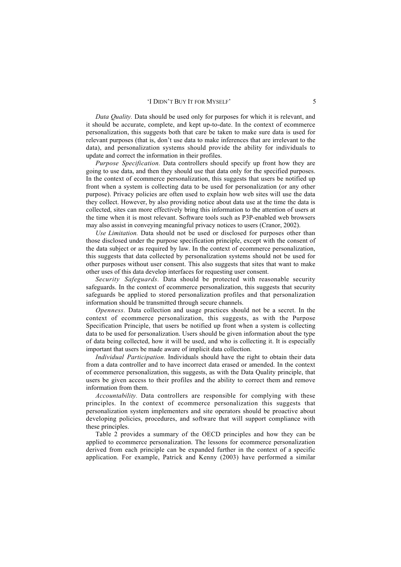*Data Quality.* Data should be used only for purposes for which it is relevant, and it should be accurate, complete, and kept up-to-date. In the context of ecommerce personalization, this suggests both that care be taken to make sure data is used for relevant purposes (that is, don't use data to make inferences that are irrelevant to the data), and personalization systems should provide the ability for individuals to update and correct the information in their profiles.

*Purpose Specification.* Data controllers should specify up front how they are going to use data, and then they should use that data only for the specified purposes. In the context of ecommerce personalization, this suggests that users be notified up front when a system is collecting data to be used for personalization (or any other purpose). Privacy policies are often used to explain how web sites will use the data they collect. However, by also providing notice about data use at the time the data is collected, sites can more effectively bring this information to the attention of users at the time when it is most relevant. Software tools such as P3P-enabled web browsers may also assist in conveying meaningful privacy notices to users (Cranor, 2002).

*Use Limitation.* Data should not be used or disclosed for purposes other than those disclosed under the purpose specification principle, except with the consent of the data subject or as required by law. In the context of ecommerce personalization, this suggests that data collected by personalization systems should not be used for other purposes without user consent. This also suggests that sites that want to make other uses of this data develop interfaces for requesting user consent.

*Security Safeguards.* Data should be protected with reasonable security safeguards. In the context of ecommerce personalization, this suggests that security safeguards be applied to stored personalization profiles and that personalization information should be transmitted through secure channels.

*Openness.* Data collection and usage practices should not be a secret. In the context of ecommerce personalization, this suggests, as with the Purpose Specification Principle, that users be notified up front when a system is collecting data to be used for personalization. Users should be given information about the type of data being collected, how it will be used, and who is collecting it. It is especially important that users be made aware of implicit data collection.

*Individual Participation.* Individuals should have the right to obtain their data from a data controller and to have incorrect data erased or amended. In the context of ecommerce personalization, this suggests, as with the Data Quality principle, that users be given access to their profiles and the ability to correct them and remove information from them.

*Accountability.* Data controllers are responsible for complying with these principles. In the context of ecommerce personalization this suggests that personalization system implementers and site operators should be proactive about developing policies, procedures, and software that will support compliance with these principles.

Table 2 provides a summary of the OECD principles and how they can be applied to ecommerce personalization. The lessons for ecommerce personalization derived from each principle can be expanded further in the context of a specific application. For example, Patrick and Kenny (2003) have performed a similar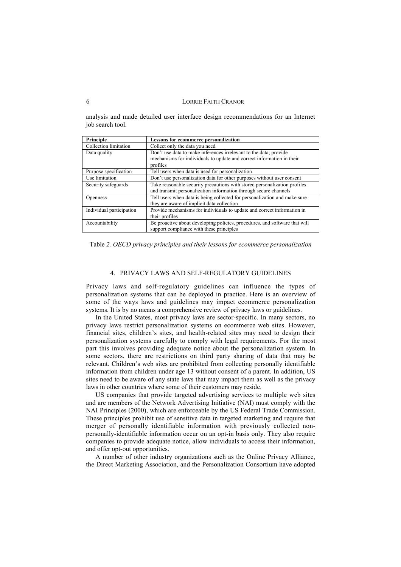analysis and made detailed user interface design recommendations for an Internet job search tool.

| Principle                | <b>Lessons for ecommerce personalization</b>                                                                                                           |
|--------------------------|--------------------------------------------------------------------------------------------------------------------------------------------------------|
| Collection limitation    | Collect only the data you need                                                                                                                         |
| Data quality             | Don't use data to make inferences irrelevant to the data; provide<br>mechanisms for individuals to update and correct information in their<br>profiles |
| Purpose specification    | Tell users when data is used for personalization                                                                                                       |
| Use limitation           | Don't use personalization data for other purposes without user consent                                                                                 |
| Security safeguards      | Take reasonable security precautions with stored personalization profiles<br>and transmit personalization information through secure channels          |
| <b>Openness</b>          | Tell users when data is being collected for personalization and make sure<br>they are aware of implicit data collection                                |
| Individual participation | Provide mechanisms for individuals to update and correct information in<br>their profiles                                                              |
| Accountability           | Be proactive about developing policies, procedures, and software that will<br>support compliance with these principles                                 |

Table *2. OECD privacy principles and their lessons for ecommerce personalization*

## 4. PRIVACY LAWS AND SELF-REGULATORY GUIDELINES

Privacy laws and self-regulatory guidelines can influence the types of personalization systems that can be deployed in practice. Here is an overview of some of the ways laws and guidelines may impact ecommerce personalization systems. It is by no means a comprehensive review of privacy laws or guidelines.

In the United States, most privacy laws are sector-specific. In many sectors, no privacy laws restrict personalization systems on ecommerce web sites. However, financial sites, children's sites, and health-related sites may need to design their personalization systems carefully to comply with legal requirements. For the most part this involves providing adequate notice about the personalization system. In some sectors, there are restrictions on third party sharing of data that may be relevant. Children's web sites are prohibited from collecting personally identifiable information from children under age 13 without consent of a parent. In addition, US sites need to be aware of any state laws that may impact them as well as the privacy laws in other countries where some of their customers may reside.

US companies that provide targeted advertising services to multiple web sites and are members of the Network Advertising Initiative (NAI) must comply with the NAI Principles (2000), which are enforceable by the US Federal Trade Commission. These principles prohibit use of sensitive data in targeted marketing and require that merger of personally identifiable information with previously collected nonpersonally-identifiable information occur on an opt-in basis only. They also require companies to provide adequate notice, allow individuals to access their information, and offer opt-out opportunities.

A number of other industry organizations such as the Online Privacy Alliance, the Direct Marketing Association, and the Personalization Consortium have adopted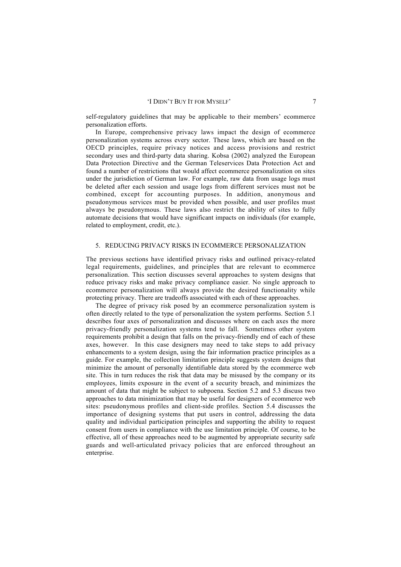self-regulatory guidelines that may be applicable to their members' ecommerce personalization efforts.

In Europe, comprehensive privacy laws impact the design of ecommerce personalization systems across every sector. These laws, which are based on the OECD principles, require privacy notices and access provisions and restrict secondary uses and third-party data sharing. Kobsa (2002) analyzed the European Data Protection Directive and the German Teleservices Data Protection Act and found a number of restrictions that would affect ecommerce personalization on sites under the jurisdiction of German law. For example, raw data from usage logs must be deleted after each session and usage logs from different services must not be combined, except for accounting purposes. In addition, anonymous and pseudonymous services must be provided when possible, and user profiles must always be pseudonymous. These laws also restrict the ability of sites to fully automate decisions that would have significant impacts on individuals (for example, related to employment, credit, etc.).

### 5. REDUCING PRIVACY RISKS IN ECOMMERCE PERSONALIZATION

The previous sections have identified privacy risks and outlined privacy-related legal requirements, guidelines, and principles that are relevant to ecommerce personalization. This section discusses several approaches to system designs that reduce privacy risks and make privacy compliance easier. No single approach to ecommerce personalization will always provide the desired functionality while protecting privacy. There are tradeoffs associated with each of these approaches.

The degree of privacy risk posed by an ecommerce personalization system is often directly related to the type of personalization the system performs. Section 5.1 describes four axes of personalization and discusses where on each axes the more privacy-friendly personalization systems tend to fall. Sometimes other system requirements prohibit a design that falls on the privacy-friendly end of each of these axes, however. In this case designers may need to take steps to add privacy enhancements to a system design, using the fair information practice principles as a guide. For example, the collection limitation principle suggests system designs that minimize the amount of personally identifiable data stored by the ecommerce web site. This in turn reduces the risk that data may be misused by the company or its employees, limits exposure in the event of a security breach, and minimizes the amount of data that might be subject to subpoena. Section 5.2 and 5.3 discuss two approaches to data minimization that may be useful for designers of ecommerce web sites: pseudonymous profiles and client-side profiles. Section 5.4 discusses the importance of designing systems that put users in control, addressing the data quality and individual participation principles and supporting the ability to request consent from users in compliance with the use limitation principle. Of course, to be effective, all of these approaches need to be augmented by appropriate security safe guards and well-articulated privacy policies that are enforced throughout an enterprise.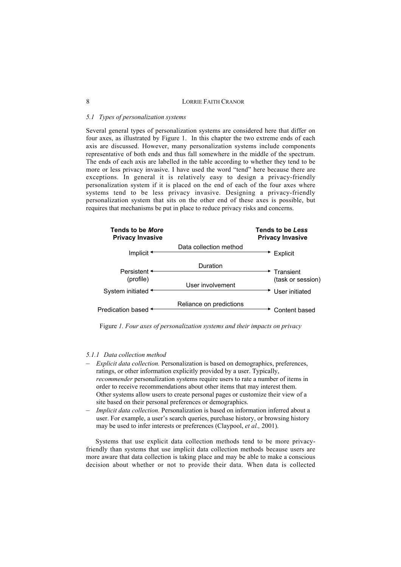#### *5.1 Types of personalization systems*

Several general types of personalization systems are considered here that differ on four axes, as illustrated by Figure 1. In this chapter the two extreme ends of each axis are discussed. However, many personalization systems include components representative of both ends and thus fall somewhere in the middle of the spectrum. The ends of each axis are labelled in the table according to whether they tend to be more or less privacy invasive. I have used the word "tend" here because there are exceptions. In general it is relatively easy to design a privacy-friendly personalization system if it is placed on the end of each of the four axes where systems tend to be less privacy invasive. Designing a privacy-friendly personalization system that sits on the other end of these axes is possible, but requires that mechanisms be put in place to reduce privacy risks and concerns.



Figure *1. Four axes of personalization systems and their impacts on privacy*

#### *5.1.1 Data collection method*

- *Explicit data collection.* Personalization is based on demographics, preferences, ratings, or other information explicitly provided by a user. Typically, *recommender* personalization systems require users to rate a number of items in order to receive recommendations about other items that may interest them. Other systems allow users to create personal pages or customize their view of a site based on their personal preferences or demographics.
- *Implicit data collection.* Personalization is based on information inferred about a user. For example, a user's search queries, purchase history, or browsing history may be used to infer interests or preferences (Claypool, *et al.,* 2001).

Systems that use explicit data collection methods tend to be more privacyfriendly than systems that use implicit data collection methods because users are more aware that data collection is taking place and may be able to make a conscious decision about whether or not to provide their data. When data is collected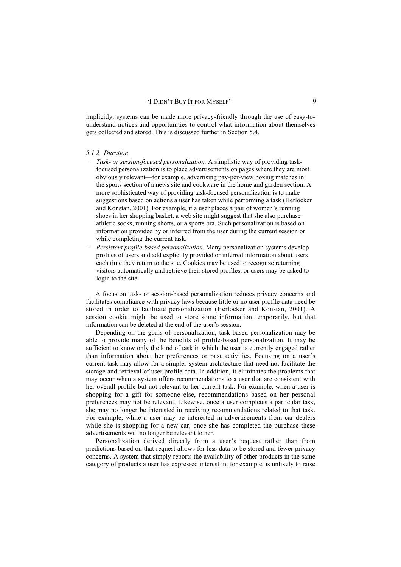implicitly, systems can be made more privacy-friendly through the use of easy-tounderstand notices and opportunities to control what information about themselves gets collected and stored. This is discussed further in Section 5.4.

#### *5.1.2 Duration*

- *Task- or session-focused personalization.* A simplistic way of providing taskfocused personalization is to place advertisements on pages where they are most obviously relevant—for example, advertising pay-per-view boxing matches in the sports section of a news site and cookware in the home and garden section. A more sophisticated way of providing task-focused personalization is to make suggestions based on actions a user has taken while performing a task (Herlocker and Konstan, 2001). For example, if a user places a pair of women's running shoes in her shopping basket, a web site might suggest that she also purchase athletic socks, running shorts, or a sports bra. Such personalization is based on information provided by or inferred from the user during the current session or while completing the current task.
- *Persistent profile-based personalization*. Many personalization systems develop profiles of users and add explicitly provided or inferred information about users each time they return to the site. Cookies may be used to recognize returning visitors automatically and retrieve their stored profiles, or users may be asked to login to the site.

A focus on task- or session-based personalization reduces privacy concerns and facilitates compliance with privacy laws because little or no user profile data need be stored in order to facilitate personalization (Herlocker and Konstan, 2001). A session cookie might be used to store some information temporarily, but that information can be deleted at the end of the user's session.

Depending on the goals of personalization, task-based personalization may be able to provide many of the benefits of profile-based personalization. It may be sufficient to know only the kind of task in which the user is currently engaged rather than information about her preferences or past activities. Focusing on a user's current task may allow for a simpler system architecture that need not facilitate the storage and retrieval of user profile data. In addition, it eliminates the problems that may occur when a system offers recommendations to a user that are consistent with her overall profile but not relevant to her current task. For example, when a user is shopping for a gift for someone else, recommendations based on her personal preferences may not be relevant. Likewise, once a user completes a particular task, she may no longer be interested in receiving recommendations related to that task. For example, while a user may be interested in advertisements from car dealers while she is shopping for a new car, once she has completed the purchase these advertisements will no longer be relevant to her.

Personalization derived directly from a user's request rather than from predictions based on that request allows for less data to be stored and fewer privacy concerns. A system that simply reports the availability of other products in the same category of products a user has expressed interest in, for example, is unlikely to raise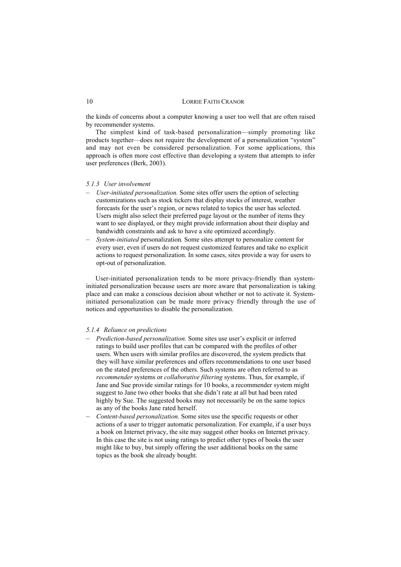the kinds of concerns about a computer knowing a user too well that are often raised by recommender systems.

The simplest kind of task-based personalization—simply promoting like products together—does not require the development of a personalization "system" and may not even be considered personalization. For some applications, this approach is often more cost effective than developing a system that attempts to infer user preferences (Berk, 2003).

## *5.1.3 User involvement*

- *User-initiated personalization.* Some sites offer users the option of selecting customizations such as stock tickers that display stocks of interest, weather forecasts for the user's region, or news related to topics the user has selected. Users might also select their preferred page layout or the number of items they want to see displayed, or they might provide information about their display and bandwidth constraints and ask to have a site optimized accordingly.
- *System-initiated* personalization*.* Some sites attempt to personalize content for every user, even if users do not request customized features and take no explicit actions to request personalization. In some cases, sites provide a way for users to opt-out of personalization.

User-initiated personalization tends to be more privacy-friendly than systeminitiated personalization because users are more aware that personalization is taking place and can make a conscious decision about whether or not to activate it. Systeminitiated personalization can be made more privacy friendly through the use of notices and opportunities to disable the personalization.

## *5.1.4 Reliance on predictions*

- *Prediction-based personalization.* Some sites use user's explicit or inferred ratings to build user profiles that can be compared with the profiles of other users. When users with similar profiles are discovered, the system predicts that they will have similar preferences and offers recommendations to one user based on the stated preferences of the others. Such systems are often referred to as *recommender* systems or *collaborative filtering* systems. Thus, for example, if Jane and Sue provide similar ratings for 10 books, a recommender system might suggest to Jane two other books that she didn't rate at all but had been rated highly by Sue. The suggested books may not necessarily be on the same topics as any of the books Jane rated herself.
- *Content-based personalization.* Some sites use the specific requests or other actions of a user to trigger automatic personalization. For example, if a user buys a book on Internet privacy, the site may suggest other books on Internet privacy. In this case the site is not using ratings to predict other types of books the user might like to buy, but simply offering the user additional books on the same topics as the book she already bought.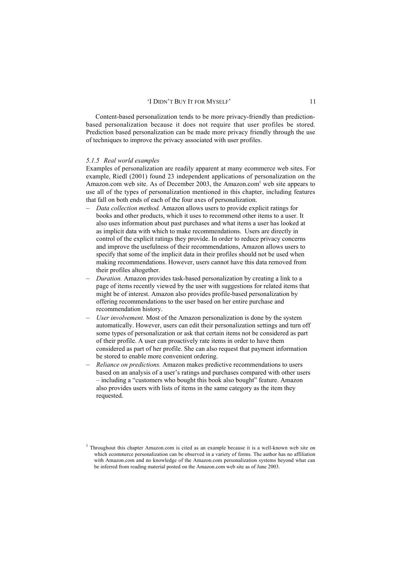Content-based personalization tends to be more privacy-friendly than predictionbased personalization because it does not require that user profiles be stored. Prediction based personalization can be made more privacy friendly through the use of techniques to improve the privacy associated with user profiles.

#### *5.1.5 Real world examples*

Examples of personalization are readily apparent at many ecommerce web sites. For example, Riedl (2001) found 23 independent applications of personalization on the Amazon.com web site. As of December 2003, the Amazon.com<sup>1</sup> web site appears to use all of the types of personalization mentioned in this chapter, including features that fall on both ends of each of the four axes of personalization.

- *Data collection method.* Amazon allows users to provide explicit ratings for books and other products, which it uses to recommend other items to a user. It also uses information about past purchases and what items a user has looked at as implicit data with which to make recommendations. Users are directly in control of the explicit ratings they provide. In order to reduce privacy concerns and improve the usefulness of their recommendations, Amazon allows users to specify that some of the implicit data in their profiles should not be used when making recommendations. However, users cannot have this data removed from their profiles altogether.
- *Duration.* Amazon provides task-based personalization by creating a link to a page of items recently viewed by the user with suggestions for related items that might be of interest. Amazon also provides profile-based personalization by offering recommendations to the user based on her entire purchase and recommendation history.
- *User involvement.* Most of the Amazon personalization is done by the system automatically. However, users can edit their personalization settings and turn off some types of personalization or ask that certain items not be considered as part of their profile. A user can proactively rate items in order to have them considered as part of her profile. She can also request that payment information be stored to enable more convenient ordering.
- *Reliance on predictions.* Amazon makes predictive recommendations to users based on an analysis of a user's ratings and purchases compared with other users – including a "customers who bought this book also bought" feature. Amazon also provides users with lists of items in the same category as the item they requested.

<sup>1</sup> Throughout this chapter Amazon.com is cited as an example because it is a well-known web site on which ecommerce personalization can be observed in a variety of forms. The author has no affiliation with Amazon.com and no knowledge of the Amazon.com personalization systems beyond what can be inferred from reading material posted on the Amazon.com web site as of June 2003.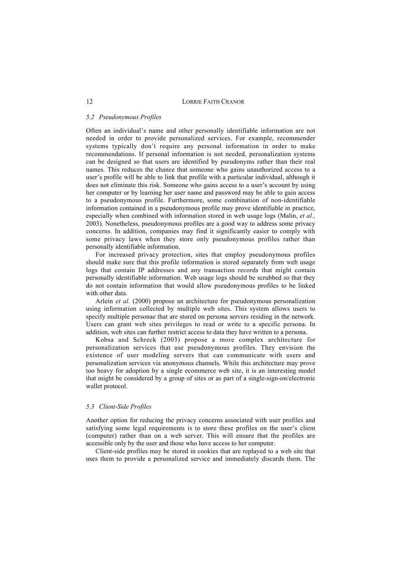#### *5.2 Pseudonymous Profiles*

Often an individual's name and other personally identifiable information are not needed in order to provide personalized services. For example, recommender systems typically don't require any personal information in order to make recommendations. If personal information is not needed, personalization systems can be designed so that users are identified by pseudonyms rather than their real names. This reduces the chance that someone who gains unauthorized access to a user's profile will be able to link that profile with a particular individual, although it does not eliminate this risk. Someone who gains access to a user's account by using her computer or by learning her user name and password may be able to gain access to a pseudonymous profile. Furthermore, some combination of non-identifiable information contained in a pseudonymous profile may prove identifiable in practice, especially when combined with information stored in web usage logs (Malin, *et al.,* 2003). Nonetheless, pseudonymous profiles are a good way to address some privacy concerns. In addition, companies may find it significantly easier to comply with some privacy laws when they store only pseudonymous profiles rather than personally identifiable information.

For increased privacy protection, sites that employ pseudonymous profiles should make sure that this profile information is stored separately from web usage logs that contain IP addresses and any transaction records that might contain personally identifiable information. Web usage logs should be scrubbed so that they do not contain information that would allow pseudonymous profiles to be linked with other data.

Arlein *et al.* (2000) propose an architecture for pseudonymous personalization using information collected by multiple web sites. This system allows users to specify multiple personae that are stored on persona servers residing in the network. Users can grant web sites privileges to read or write to a specific persona. In addition, web sites can further restrict access to data they have written to a persona.

Kobsa and Schreck (2003) propose a more complex architecture for personalization services that use pseudonymous profiles. They envision the existence of user modeling servers that can communicate with users and personalization services via anonymous channels. While this architecture may prove too heavy for adoption by a single ecommerce web site, it is an interesting model that might be considered by a group of sites or as part of a single-sign-on/electronic wallet protocol.

## *5.3 Client-Side Profiles*

Another option for reducing the privacy concerns associated with user profiles and satisfying some legal requirements is to store these profiles on the user's client (computer) rather than on a web server. This will ensure that the profiles are accessible only by the user and those who have access to her computer.

Client-side profiles may be stored in cookies that are replayed to a web site that uses them to provide a personalized service and immediately discards them. The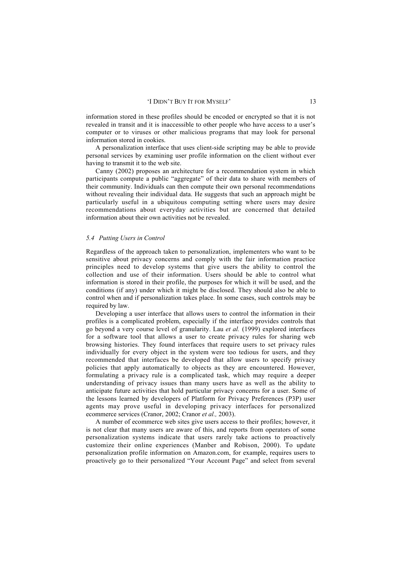information stored in these profiles should be encoded or encrypted so that it is not revealed in transit and it is inaccessible to other people who have access to a user's computer or to viruses or other malicious programs that may look for personal information stored in cookies.

A personalization interface that uses client-side scripting may be able to provide personal services by examining user profile information on the client without ever having to transmit it to the web site.

Canny (2002) proposes an architecture for a recommendation system in which participants compute a public "aggregate" of their data to share with members of their community. Individuals can then compute their own personal recommendations without revealing their individual data. He suggests that such an approach might be particularly useful in a ubiquitous computing setting where users may desire recommendations about everyday activities but are concerned that detailed information about their own activities not be revealed.

#### *5.4 Putting Users in Control*

Regardless of the approach taken to personalization, implementers who want to be sensitive about privacy concerns and comply with the fair information practice principles need to develop systems that give users the ability to control the collection and use of their information. Users should be able to control what information is stored in their profile, the purposes for which it will be used, and the conditions (if any) under which it might be disclosed. They should also be able to control when and if personalization takes place. In some cases, such controls may be required by law.

Developing a user interface that allows users to control the information in their profiles is a complicated problem, especially if the interface provides controls that go beyond a very course level of granularity. Lau *et al.* (1999) explored interfaces for a software tool that allows a user to create privacy rules for sharing web browsing histories. They found interfaces that require users to set privacy rules individually for every object in the system were too tedious for users, and they recommended that interfaces be developed that allow users to specify privacy policies that apply automatically to objects as they are encountered. However, formulating a privacy rule is a complicated task, which may require a deeper understanding of privacy issues than many users have as well as the ability to anticipate future activities that hold particular privacy concerns for a user. Some of the lessons learned by developers of Platform for Privacy Preferences (P3P) user agents may prove useful in developing privacy interfaces for personalized ecommerce services (Cranor, 2002; Cranor *et al.,* 2003).

A number of ecommerce web sites give users access to their profiles; however, it is not clear that many users are aware of this, and reports from operators of some personalization systems indicate that users rarely take actions to proactively customize their online experiences (Manber and Robison, 2000). To update personalization profile information on Amazon.com, for example, requires users to proactively go to their personalized "Your Account Page" and select from several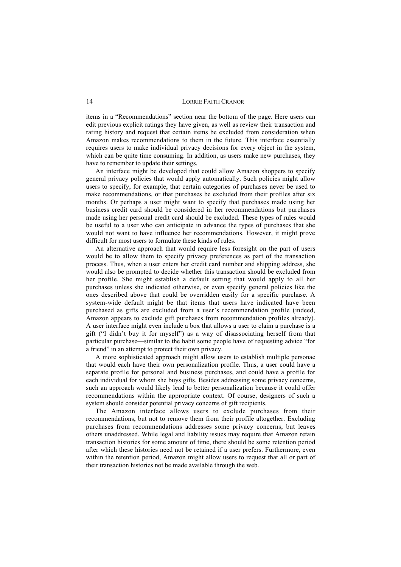items in a "Recommendations" section near the bottom of the page. Here users can edit previous explicit ratings they have given, as well as review their transaction and rating history and request that certain items be excluded from consideration when Amazon makes recommendations to them in the future. This interface essentially requires users to make individual privacy decisions for every object in the system, which can be quite time consuming. In addition, as users make new purchases, they have to remember to update their settings.

An interface might be developed that could allow Amazon shoppers to specify general privacy policies that would apply automatically. Such policies might allow users to specify, for example, that certain categories of purchases never be used to make recommendations, or that purchases be excluded from their profiles after six months. Or perhaps a user might want to specify that purchases made using her business credit card should be considered in her recommendations but purchases made using her personal credit card should be excluded. These types of rules would be useful to a user who can anticipate in advance the types of purchases that she would not want to have influence her recommendations. However, it might prove difficult for most users to formulate these kinds of rules.

An alternative approach that would require less foresight on the part of users would be to allow them to specify privacy preferences as part of the transaction process. Thus, when a user enters her credit card number and shipping address, she would also be prompted to decide whether this transaction should be excluded from her profile. She might establish a default setting that would apply to all her purchases unless she indicated otherwise, or even specify general policies like the ones described above that could be overridden easily for a specific purchase. A system-wide default might be that items that users have indicated have been purchased as gifts are excluded from a user's recommendation profile (indeed, Amazon appears to exclude gift purchases from recommendation profiles already). A user interface might even include a box that allows a user to claim a purchase is a gift ("I didn't buy it for myself") as a way of disassociating herself from that particular purchase—similar to the habit some people have of requesting advice "for a friend" in an attempt to protect their own privacy.

A more sophisticated approach might allow users to establish multiple personae that would each have their own personalization profile. Thus, a user could have a separate profile for personal and business purchases, and could have a profile for each individual for whom she buys gifts. Besides addressing some privacy concerns, such an approach would likely lead to better personalization because it could offer recommendations within the appropriate context. Of course, designers of such a system should consider potential privacy concerns of gift recipients.

The Amazon interface allows users to exclude purchases from their recommendations, but not to remove them from their profile altogether. Excluding purchases from recommendations addresses some privacy concerns, but leaves others unaddressed. While legal and liability issues may require that Amazon retain transaction histories for some amount of time, there should be some retention period after which these histories need not be retained if a user prefers. Furthermore, even within the retention period, Amazon might allow users to request that all or part of their transaction histories not be made available through the web.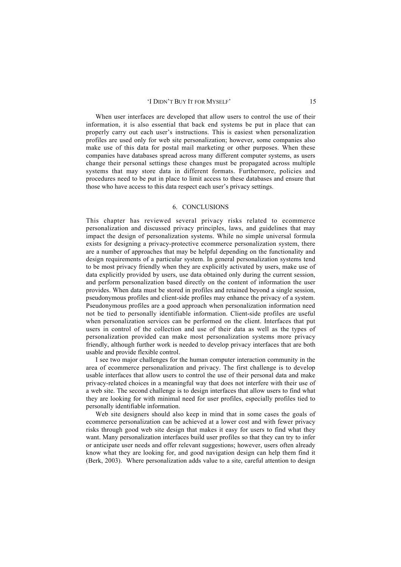When user interfaces are developed that allow users to control the use of their information, it is also essential that back end systems be put in place that can properly carry out each user's instructions. This is easiest when personalization profiles are used only for web site personalization; however, some companies also make use of this data for postal mail marketing or other purposes. When these companies have databases spread across many different computer systems, as users change their personal settings these changes must be propagated across multiple systems that may store data in different formats. Furthermore, policies and procedures need to be put in place to limit access to these databases and ensure that those who have access to this data respect each user's privacy settings.

## 6. CONCLUSIONS

This chapter has reviewed several privacy risks related to ecommerce personalization and discussed privacy principles, laws, and guidelines that may impact the design of personalization systems. While no simple universal formula exists for designing a privacy-protective ecommerce personalization system, there are a number of approaches that may be helpful depending on the functionality and design requirements of a particular system. In general personalization systems tend to be most privacy friendly when they are explicitly activated by users, make use of data explicitly provided by users, use data obtained only during the current session, and perform personalization based directly on the content of information the user provides. When data must be stored in profiles and retained beyond a single session, pseudonymous profiles and client-side profiles may enhance the privacy of a system. Pseudonymous profiles are a good approach when personalization information need not be tied to personally identifiable information. Client-side profiles are useful when personalization services can be performed on the client. Interfaces that put users in control of the collection and use of their data as well as the types of personalization provided can make most personalization systems more privacy friendly, although further work is needed to develop privacy interfaces that are both usable and provide flexible control.

I see two major challenges for the human computer interaction community in the area of ecommerce personalization and privacy. The first challenge is to develop usable interfaces that allow users to control the use of their personal data and make privacy-related choices in a meaningful way that does not interfere with their use of a web site. The second challenge is to design interfaces that allow users to find what they are looking for with minimal need for user profiles, especially profiles tied to personally identifiable information.

Web site designers should also keep in mind that in some cases the goals of ecommerce personalization can be achieved at a lower cost and with fewer privacy risks through good web site design that makes it easy for users to find what they want. Many personalization interfaces build user profiles so that they can try to infer or anticipate user needs and offer relevant suggestions; however, users often already know what they are looking for, and good navigation design can help them find it (Berk, 2003). Where personalization adds value to a site, careful attention to design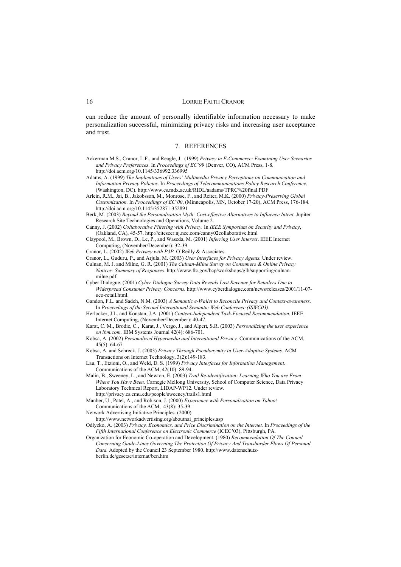can reduce the amount of personally identifiable information necessary to make personalization successful, minimizing privacy risks and increasing user acceptance and trust.

## 7. REFERENCES

- Ackerman M.S., Cranor, L.F., and Reagle, J. (1999) *Privacy in E-Commerce: Examining User Scenarios and Privacy Preferences.* In *Proceedings of EC'99* (Denver, CO), ACM Press, 1-8. http://doi.acm.org/10.1145/336992.336995
- Adams, A. (1999) *The Implications of Users' Multimedia Privacy Perceptions on Communication and Information Privacy Policies*. In *Proceedings of Telecommunications Policy Research Conference*, (Washington, DC). http://www.cs.mdx.ac.uk/RIDL/aadams/TPRC%20final.PDF
- Arlein, R.M., Jai, B., Jakobsson, M., Monrose, F., and Reiter, M.K. (2000) *Privacy-Preserving Global Customization.* In *Proceedings of EC'00*, (Minneapolis, MN, October 17-20), ACM Press, 176-184. http://doi.acm.org/10.1145/352871.352891
- Berk, M. (2003) *Beyond the Personalization Myth: Cost-effective Alternatives to Influence Intent. Jupiter* Research Site Technologies and Operations, Volume 2.
- Canny, J. (2002) *Collaborative Filtering with Privacy.* In *IEEE Symposium on Security and Privacy*, (Oakland, CA), 45-57. http://citeseer.nj.nec.com/canny02collaborative.html

Claypool, M., Brown, D., Le, P., and Waseda, M. (2001) *Inferring User Interest*. IEEE Internet Computing, (November/December): 32-39.

Cranor, L. (2002) *Web Privacy with P3P.* O'Reilly & Associates.

- Culnan, M. J. and Milne, G. R. (2001) *The Culnan-Milne Survey on Consumers & Online Privacy Notices: Summary of Responses.* http://www.ftc.gov/bcp/workshops/glb/supporting/culnanmilne.pdf.
- Cyber Dialogue. (2001) *Cyber Dialogue Survey Data Reveals Lost Revenue for Retailers Due to Widespread Consumer Privacy Concerns.* http://www.cyberdialogue.com/news/releases/2001/11-07 uco-retail.html.
- Gandon, F.L. and Sadeh, N.M. (2003) *A Semantic e-Wallet to Reconcile Privacy and Context-awareness.* In *Proceedings of the Second International Semantic Web Conference (ISWC03)*.
- Herlocker, J.L. and Konstan, J.A. (2001) *Content-Independent Task-Focused Recommendation*. IEEE Internet Computing, (November/December): 40-47.
- Karat, C. M., Brodie, C., Karat, J., Vergo, J., and Alpert, S.R. (2003) *Personalizing the user experience on ibm.com.* IBM Systems Journal 42(4): 686-701.
- Kobsa, A. (2002) *Personalized Hypermedia and International Privacy.* Communications of the ACM,  $45(5)$ : 64-67
- Kobsa, A. and Schreck, J. (2003) *Privacy Through Pseudonymity in User-Adaptive Systems.* ACM Transactions on Internet Technology, 3(2):149-183.

Lau, T., Etzioni, O., and Weld, D. S. (1999) *Privacy Interfaces for Information Management.* Communications of the ACM, 42(10): 89-94.

Malin, B., Sweeney, L., and Newton, E. (2003) *Trail Re-identification: Learning Who You are From Where You Have Been.* Carnegie Mellong University, School of Computer Science, Data Privacy Laboratory Technical Report, LIDAP-WP12. Under review. http://privacy.cs.cmu.edu/people/sweeney/trails1.html

Manber, U., Patel, A., and Robison, J. (2000) *Experience with Personalization on Yahoo!* Communications of the ACM, 43(8): 35-39.

- Network Advertising Initiative Principles. (2000)
- http://www.networkadvertising.org/aboutnai\_principles.asp
- Odlyzko, A. (2003) *Privacy, Economics, and Price Discrimination on the Internet.* In *Proceedings of the Fifth International Conference on Electronic Commerce* (ICEC'03), Pittsburgh, PA.
- Organization for Economic Co-operation and Development. (1980) *Recommendation Of The Council Concerning Guide-Lines Governing The Protection Of Privacy And Transborder Flows Of Personal Data.* Adopted by the Council 23 September 1980. http://www.datenschutzberlin.de/gesetze/internat/ben.htm

Cranor, L., Guduru, P., and Arjula, M. (2003) *User Interfaces for Privacy Agents.* Under review.